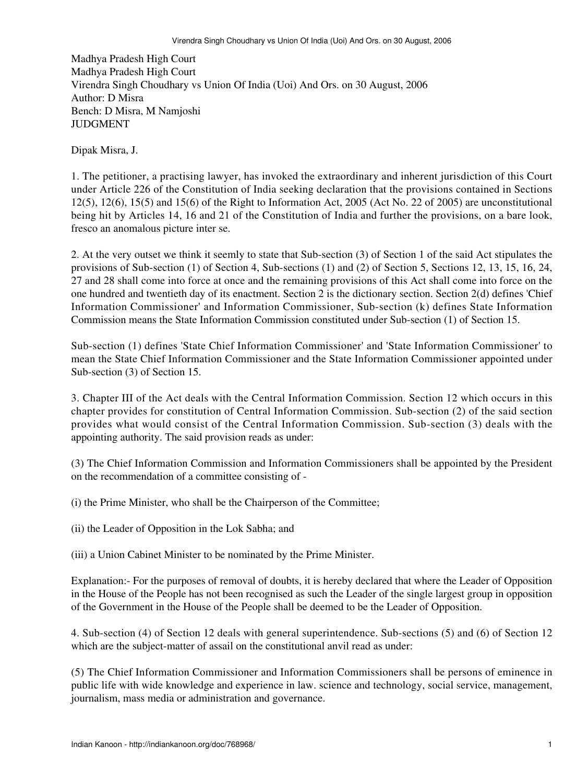Madhya Pradesh High Court Madhya Pradesh High Court Virendra Singh Choudhary vs Union Of India (Uoi) And Ors. on 30 August, 2006 Author: D Misra Bench: D Misra, M Namjoshi **JUDGMENT** 

Dipak Misra, J.

1. The petitioner, a practising lawyer, has invoked the extraordinary and inherent jurisdiction of this Court under Article 226 of the Constitution of India seeking declaration that the provisions contained in Sections 12(5), 12(6), 15(5) and 15(6) of the Right to Information Act, 2005 (Act No. 22 of 2005) are unconstitutional being hit by Articles 14, 16 and 21 of the Constitution of India and further the provisions, on a bare look, fresco an anomalous picture inter se.

2. At the very outset we think it seemly to state that Sub-section (3) of Section 1 of the said Act stipulates the provisions of Sub-section (1) of Section 4, Sub-sections (1) and (2) of Section 5, Sections 12, 13, 15, 16, 24, 27 and 28 shall come into force at once and the remaining provisions of this Act shall come into force on the one hundred and twentieth day of its enactment. Section 2 is the dictionary section. Section 2(d) defines 'Chief Information Commissioner' and Information Commissioner, Sub-section (k) defines State Information Commission means the State Information Commission constituted under Sub-section (1) of Section 15.

Sub-section (1) defines 'State Chief Information Commissioner' and 'State Information Commissioner' to mean the State Chief Information Commissioner and the State Information Commissioner appointed under Sub-section (3) of Section 15.

3. Chapter III of the Act deals with the Central Information Commission. Section 12 which occurs in this chapter provides for constitution of Central Information Commission. Sub-section (2) of the said section provides what would consist of the Central Information Commission. Sub-section (3) deals with the appointing authority. The said provision reads as under:

(3) The Chief Information Commission and Information Commissioners shall be appointed by the President on the recommendation of a committee consisting of -

(i) the Prime Minister, who shall be the Chairperson of the Committee;

(ii) the Leader of Opposition in the Lok Sabha; and

(iii) a Union Cabinet Minister to be nominated by the Prime Minister.

Explanation:- For the purposes of removal of doubts, it is hereby declared that where the Leader of Opposition in the House of the People has not been recognised as such the Leader of the single largest group in opposition of the Government in the House of the People shall be deemed to be the Leader of Opposition.

4. Sub-section (4) of Section 12 deals with general superintendence. Sub-sections (5) and (6) of Section 12 which are the subject-matter of assail on the constitutional anvil read as under:

(5) The Chief Information Commissioner and Information Commissioners shall be persons of eminence in public life with wide knowledge and experience in law. science and technology, social service, management, journalism, mass media or administration and governance.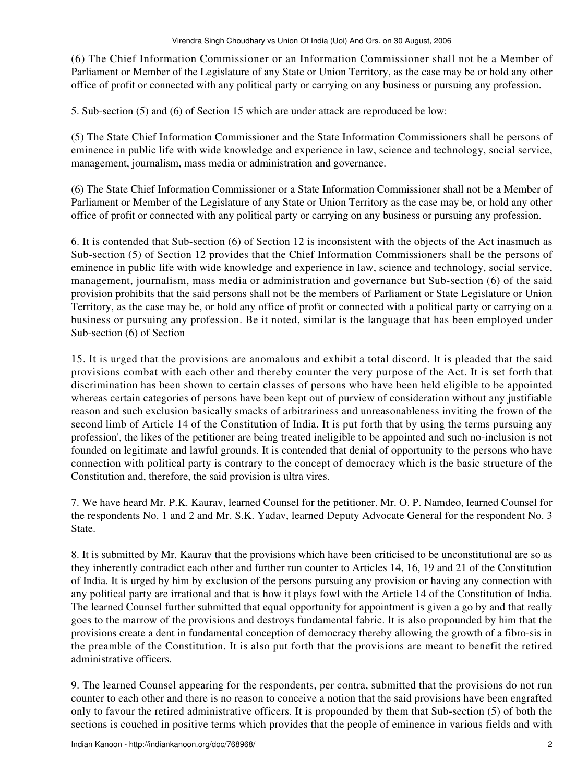(6) The Chief Information Commissioner or an Information Commissioner shall not be a Member of Parliament or Member of the Legislature of any State or Union Territory, as the case may be or hold any other office of profit or connected with any political party or carrying on any business or pursuing any profession.

5. Sub-section (5) and (6) of Section 15 which are under attack are reproduced be low:

(5) The State Chief Information Commissioner and the State Information Commissioners shall be persons of eminence in public life with wide knowledge and experience in law, science and technology, social service, management, journalism, mass media or administration and governance.

(6) The State Chief Information Commissioner or a State Information Commissioner shall not be a Member of Parliament or Member of the Legislature of any State or Union Territory as the case may be, or hold any other office of profit or connected with any political party or carrying on any business or pursuing any profession.

6. It is contended that Sub-section (6) of Section 12 is inconsistent with the objects of the Act inasmuch as Sub-section (5) of Section 12 provides that the Chief Information Commissioners shall be the persons of eminence in public life with wide knowledge and experience in law, science and technology, social service, management, journalism, mass media or administration and governance but Sub-section (6) of the said provision prohibits that the said persons shall not be the members of Parliament or State Legislature or Union Territory, as the case may be, or hold any office of profit or connected with a political party or carrying on a business or pursuing any profession. Be it noted, similar is the language that has been employed under Sub-section (6) of Section

15. It is urged that the provisions are anomalous and exhibit a total discord. It is pleaded that the said provisions combat with each other and thereby counter the very purpose of the Act. It is set forth that discrimination has been shown to certain classes of persons who have been held eligible to be appointed whereas certain categories of persons have been kept out of purview of consideration without any justifiable reason and such exclusion basically smacks of arbitrariness and unreasonableness inviting the frown of the second limb of Article 14 of the Constitution of India. It is put forth that by using the terms pursuing any profession', the likes of the petitioner are being treated ineligible to be appointed and such no-inclusion is not founded on legitimate and lawful grounds. It is contended that denial of opportunity to the persons who have connection with political party is contrary to the concept of democracy which is the basic structure of the Constitution and, therefore, the said provision is ultra vires.

7. We have heard Mr. P.K. Kaurav, learned Counsel for the petitioner. Mr. O. P. Namdeo, learned Counsel for the respondents No. 1 and 2 and Mr. S.K. Yadav, learned Deputy Advocate General for the respondent No. 3 State.

8. It is submitted by Mr. Kaurav that the provisions which have been criticised to be unconstitutional are so as they inherently contradict each other and further run counter to Articles 14, 16, 19 and 21 of the Constitution of India. It is urged by him by exclusion of the persons pursuing any provision or having any connection with any political party are irrational and that is how it plays fowl with the Article 14 of the Constitution of India. The learned Counsel further submitted that equal opportunity for appointment is given a go by and that really goes to the marrow of the provisions and destroys fundamental fabric. It is also propounded by him that the provisions create a dent in fundamental conception of democracy thereby allowing the growth of a fibro-sis in the preamble of the Constitution. It is also put forth that the provisions are meant to benefit the retired administrative officers.

9. The learned Counsel appearing for the respondents, per contra, submitted that the provisions do not run counter to each other and there is no reason to conceive a notion that the said provisions have been engrafted only to favour the retired administrative officers. It is propounded by them that Sub-section (5) of both the sections is couched in positive terms which provides that the people of eminence in various fields and with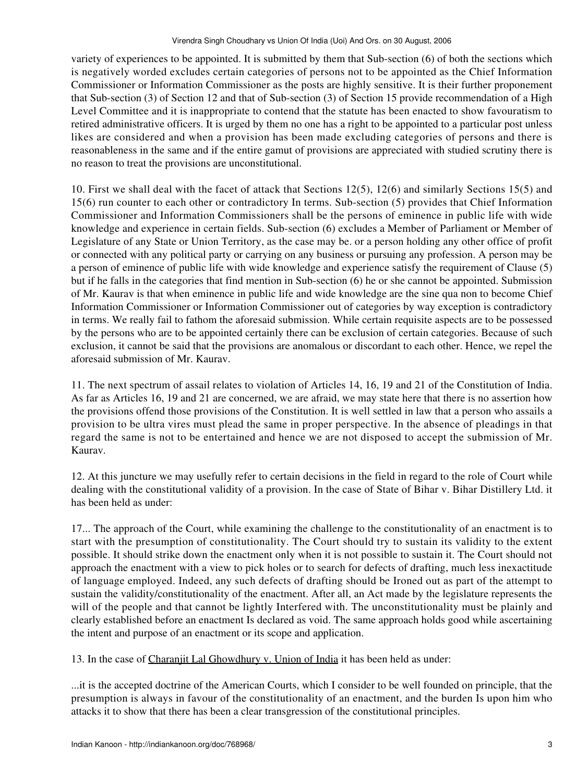variety of experiences to be appointed. It is submitted by them that Sub-section (6) of both the sections which is negatively worded excludes certain categories of persons not to be appointed as the Chief Information Commissioner or Information Commissioner as the posts are highly sensitive. It is their further proponement that Sub-section (3) of Section 12 and that of Sub-section (3) of Section 15 provide recommendation of a High Level Committee and it is inappropriate to contend that the statute has been enacted to show favouratism to retired administrative officers. It is urged by them no one has a right to be appointed to a particular post unless likes are considered and when a provision has been made excluding categories of persons and there is reasonableness in the same and if the entire gamut of provisions are appreciated with studied scrutiny there is no reason to treat the provisions are unconstitutional.

10. First we shall deal with the facet of attack that Sections 12(5), 12(6) and similarly Sections 15(5) and 15(6) run counter to each other or contradictory In terms. Sub-section (5) provides that Chief Information Commissioner and Information Commissioners shall be the persons of eminence in public life with wide knowledge and experience in certain fields. Sub-section (6) excludes a Member of Parliament or Member of Legislature of any State or Union Territory, as the case may be. or a person holding any other office of profit or connected with any political party or carrying on any business or pursuing any profession. A person may be a person of eminence of public life with wide knowledge and experience satisfy the requirement of Clause (5) but if he falls in the categories that find mention in Sub-section (6) he or she cannot be appointed. Submission of Mr. Kaurav is that when eminence in public life and wide knowledge are the sine qua non to become Chief Information Commissioner or Information Commissioner out of categories by way exception is contradictory in terms. We really fail to fathom the aforesaid submission. While certain requisite aspects are to be possessed by the persons who are to be appointed certainly there can be exclusion of certain categories. Because of such exclusion, it cannot be said that the provisions are anomalous or discordant to each other. Hence, we repel the aforesaid submission of Mr. Kaurav.

11. The next spectrum of assail relates to violation of Articles 14, 16, 19 and 21 of the Constitution of India. As far as Articles 16, 19 and 21 are concerned, we are afraid, we may state here that there is no assertion how the provisions offend those provisions of the Constitution. It is well settled in law that a person who assails a provision to be ultra vires must plead the same in proper perspective. In the absence of pleadings in that regard the same is not to be entertained and hence we are not disposed to accept the submission of Mr. Kaurav.

12. At this juncture we may usefully refer to certain decisions in the field in regard to the role of Court while dealing with the constitutional validity of a provision. In the case of State of Bihar v. Bihar Distillery Ltd. it has been held as under:

17... The approach of the Court, while examining the challenge to the constitutionality of an enactment is to start with the presumption of constitutionality. The Court should try to sustain its validity to the extent possible. It should strike down the enactment only when it is not possible to sustain it. The Court should not approach the enactment with a view to pick holes or to search for defects of drafting, much less inexactitude of language employed. Indeed, any such defects of drafting should be Ironed out as part of the attempt to sustain the validity/constitutionality of the enactment. After all, an Act made by the legislature represents the will of the people and that cannot be lightly Interfered with. The unconstitutionality must be plainly and clearly established before an enactment Is declared as void. The same approach holds good while ascertaining the intent and purpose of an enactment or its scope and application.

13. In the case of Charanjit Lal Ghowdhury v. Union of India it has been held as under:

...it is the accepted doctrine of the American Courts, which I consider to be well founded on principle, that the presumption is always in favour of the constitutionality of an enactment, and the burden Is upon him who attacks it to show that there has been a clear transgression of the constitutional principles.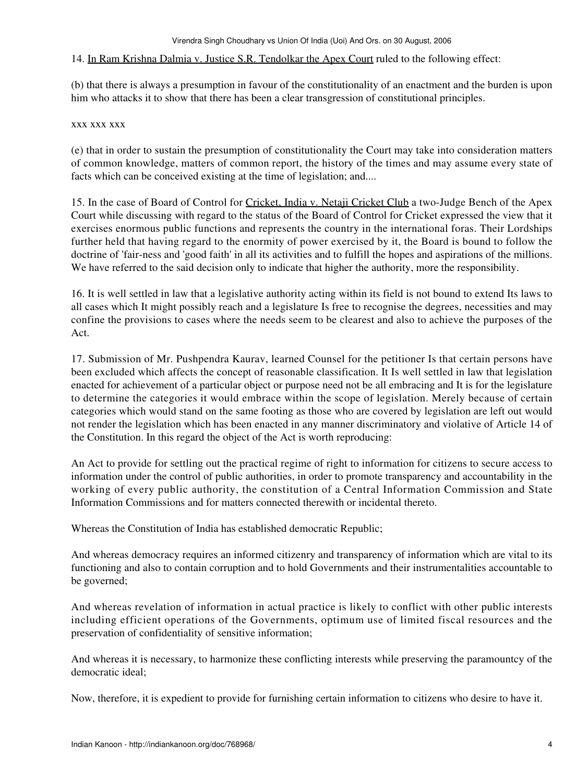## 14. In Ram Krishna Dalmia v. Justice S.R. Tendolkar the Apex Court ruled to the following effect:

(b) that there is always a presumption in favour of the constitutionality of an enactment and the burden is upon him who attacks it to show that there has been a clear transgression of constitutional principles.

## xxx xxx xxx

(e) that in order to sustain the presumption of constitutionality the Court may take into consideration matters of common knowledge, matters of common report, the history of the times and may assume every state of facts which can be conceived existing at the time of legislation; and....

15. In the case of Board of Control for Cricket, India v. Netaji Cricket Club a two-Judge Bench of the Apex Court while discussing with regard to the status of the Board of Control for Cricket expressed the view that it exercises enormous public functions and represents the country in the international foras. Their Lordships further held that having regard to the enormity of power exercised by it, the Board is bound to follow the doctrine of 'fair-ness and 'good faith' in all its activities and to fulfill the hopes and aspirations of the millions. We have referred to the said decision only to indicate that higher the authority, more the responsibility.

16. It is well settled in law that a legislative authority acting within its field is not bound to extend Its laws to all cases which It might possibly reach and a legislature Is free to recognise the degrees, necessities and may confine the provisions to cases where the needs seem to be clearest and also to achieve the purposes of the Act.

17. Submission of Mr. Pushpendra Kaurav, learned Counsel for the petitioner Is that certain persons have been excluded which affects the concept of reasonable classification. It Is well settled in law that legislation enacted for achievement of a particular object or purpose need not be all embracing and It is for the legislature to determine the categories it would embrace within the scope of legislation. Merely because of certain categories which would stand on the same footing as those who are covered by legislation are left out would not render the legislation which has been enacted in any manner discriminatory and violative of Article 14 of the Constitution. In this regard the object of the Act is worth reproducing:

An Act to provide for settling out the practical regime of right to information for citizens to secure access to information under the control of public authorities, in order to promote transparency and accountability in the working of every public authority, the constitution of a Central Information Commission and State Information Commissions and for matters connected therewith or incidental thereto.

Whereas the Constitution of India has established democratic Republic;

And whereas democracy requires an informed citizenry and transparency of information which are vital to its functioning and also to contain corruption and to hold Governments and their instrumentalities accountable to be governed;

And whereas revelation of information in actual practice is likely to conflict with other public interests including efficient operations of the Governments, optimum use of limited fiscal resources and the preservation of confidentiality of sensitive information;

And whereas it is necessary, to harmonize these conflicting interests while preserving the paramountcy of the democratic ideal;

Now, therefore, it is expedient to provide for furnishing certain information to citizens who desire to have it.